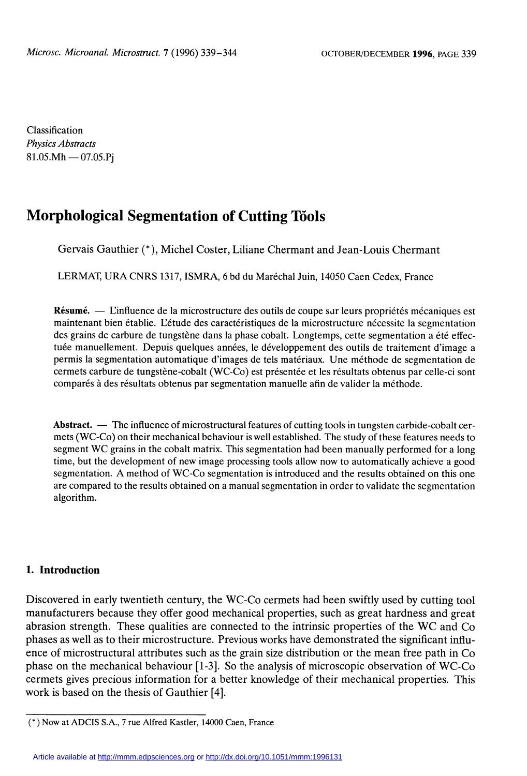Classification Physics Abstracts  $81.05.Mh - 07.05.Pi$ 

# Morphological Segmentation of Cutting Töols

Gervais Gauthier (\*), Michel Coster, Liliane Chermant and Jean-Louis Chermant

LERMAT, URA CNRS 1317, ISMRA, 6 bd du Maréchal Juin, 14050 Caen Cedex, France

Résumé. — L'influence de la microstructure des outils de coupe sur leurs propriétés mécaniques est maintenant bien établie. L'étude des caractéristiques de la microstructure nécessite la segmentation des grains de carbure de tungstène dans la phase cobalt. Longtemps, cette segmentation a été effectuée manuellement. Depuis quelques années, le développement des outils de traitement d'image a permis la segmentation automatique d'images de tels matériaux. Une méthode de segmentation de cermets carbure de tungstène-cobalt (WC-Co) est présentée et les résultats obtenus par celle-ci sont comparés à des résultats obtenus par segmentation manuelle afin de valider la méthode.

Abstract.  $\overline{\phantom{a}}$  The influence of microstructural features of cutting tools in tungsten carbide-cobalt cermets (WC-Co) on their mechanical behaviour is well established. The study of these features needs to segment WC grains in the cobalt matrix. This segmentation had been manually performed for a long time, but the development of new image processing tools allow now to automatically achieve a good segmentation. A method of WC-Co segmentation is introduced and the results obtained on this one are compared to the results obtained on a manual segmentation in order to validate the segmentation algorithm.

#### 1. Introduction

Discovered in early twentieth century, the WC-Co cermets had been swiftly used by cutting tool manufacturers because they offer good mechanical properties, such as great hardness and great abrasion strength. These qualities are connected to the intrinsic properties of the WC and Co phases as well as to their microstructure. Previous works have demonstrated the significant influence of microstructural attributes such as the grain size distribution or the mean free path in Co phase on the mechanical behaviour [1-3]. So the analysis of microscopic observation of WC-Co cermets gives precious information for a better knowledge of their mechanical properties. This work is based on the thesis of Gauthier [4].

<sup>( \* )</sup> Now at ADCIS S.A., 7 rue Alfred Kastler, 14000 Caen, France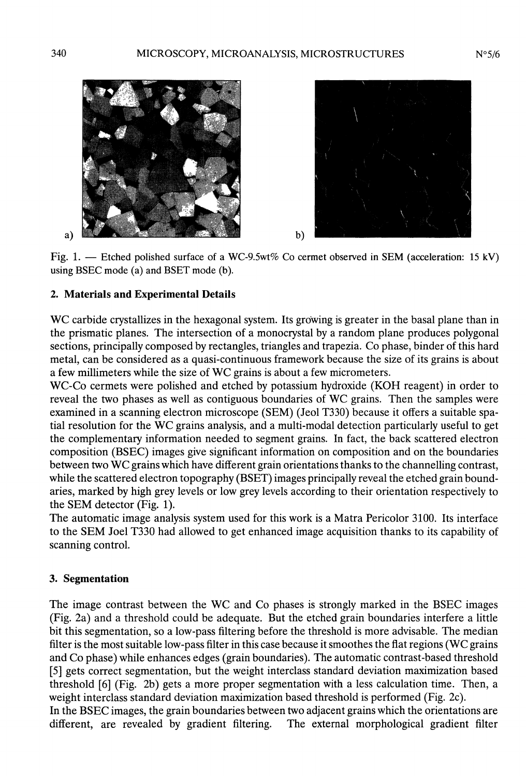



Fig. 1. - Etched polished surface of a WC-9.5wt% Co cermet observed in SEM (acceleration: 15 kV) using BSEC mode (a) and BSET mode (b).

 $b)$ 

# 2. Materials and Experimental Details

WC carbide crystallizes in the hexagonal system. Its growing is greater in the basal plane than in the prismatic planes. The intersection of a monocrystal by a random plane produces polygonal sections, principally composed by rectangles, triangles and trapezia. Co phase, binder of this hard metal, can be considered as a quasi-continuous framework because the size of its grains is about a few millimeters while the size of WC grains is about a few micrometers.

WC-Co cermets were polished and etched by potassium hydroxide (KOH reagent) in order to reveal the two phases as well as contiguous boundaries of WC grains. Then the samples were examined in a scanning electron microscope (SEM) (Jeol T330) because it offers a suitable spatial resolution for the WC grains analysis, and a multi-modal detection particularly useful to get the complementary information needed to segment grains. In fact, the back scattered electron composition (BSEC) images give significant information on composition and on the boundaries between two WC grains which have different grain orientations thanks to the channelling contrast, while the scattered electron topography (BSET) images principally reveal the etched grain boundaries, marked by high grey levels or low grey levels according to their orientation respectively to the SEM detector (Fig. 1).

The automatic image analysis system used for this work is a Matra Pericolor 3100. Its interface to the SEM Joel T330 had allowed to get enhanced image acquisition thanks to its capability of scanning control.

# 3. Segmentation

The image contrast between the WC and Co phases is strongly marked in the BSEC images (Fig. 2a) and a threshold could be adequate. But the etched grain boundaries interfere a little bit this segmentation, so a low-pass filtering before the threshold is more advisable. The median filter is the most suitable low-pass filter in this case because it smoothes the flat regions (WC grains and Co phase) while enhances edges (grain boundaries). The automatic contrast-based threshold [5] gets correct segmentation, but the weight interclass standard deviation maximization based threshold [6] (Fig. 2b) gets a more proper segmentation with a less calculation time. Then, a weight interclass standard deviation maximization based threshold is performed (Fig. 2c).

In the BSEC images, the grain boundaries between two adjacent grains which the orientations are different, are revealed by gradient filtering. The external morphological gradient filter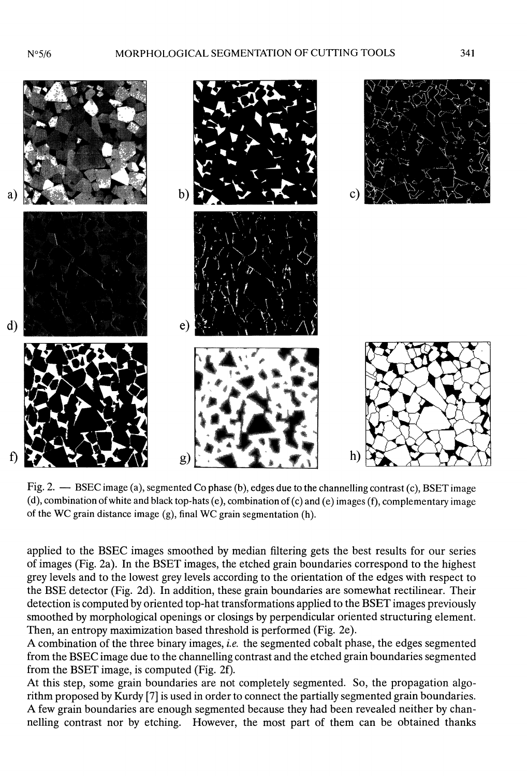$N°5/6$ 



Fig. 2. - BSEC image (a), segmented Co phase (b), edges due to the channelling contrast (c), BSET image (d), combination of white and black top-hats (e), combination of (c) and (e) images (f), complementary image of the WC grain distance image (g), final WC grain segmentation (h).

applied to the BSEC images smoothed by median filtering gets the best results for our series of images (Fig. 2a). In ihe BSET images, the etched grain boundaries correspond to the highest grey levels and to the lowest grey levels according to the orientation of the edges with respect to the BSE detector (Fig. 2d). In addition, these grain boundaries are somewhat rectilinear. Their detection is computed by oriented top-hat transformations applied to the BSET images previously smoothed by morphological openings or closings by perpendicular oriented structuring element. Then, an entropy maximization based threshold is performed (Fig. 2e).

A combination of the three binary images, *i.e.* the segmented cobalt phase, the edges segmented from the BSEC image due to the channelling contrast and the etched grain boundaries segmented from the BSET image, is computed (Fig. 2f).

At this step, some grain boundaries are not completely segmented. So, the propagation algorithm proposed by Kurdy [7] is used in order to connect the partially segmented grain boundaries. A few grain boundaries are enough segmented because they had been revealed neither by channelling contrast nor by etching. However, the most part of them can be obtained thanks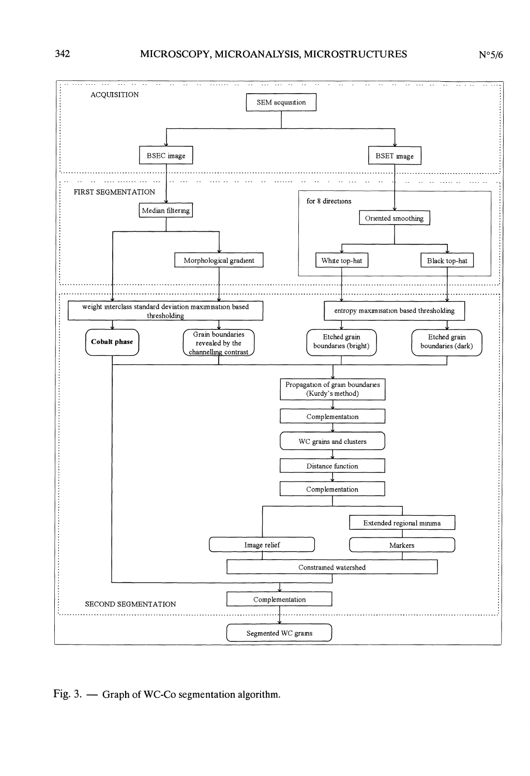

Fig. 3. - Graph of WC-Co segmentation algorithm.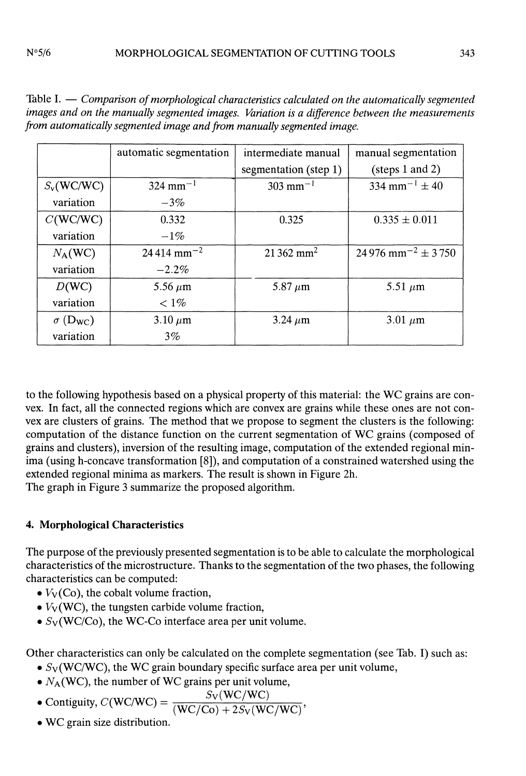|                             | automatic segmentation   | intermediate manual     | manual segmentation                 |
|-----------------------------|--------------------------|-------------------------|-------------------------------------|
|                             |                          | segmentation (step 1)   | $(\text{steps } 1 \text{ and } 2)$  |
| $S_v(WC/WC)$                | $324$ mm <sup>-1</sup>   | $303 \text{ mm}^{-1}$   | $334$ mm <sup>-1</sup> $\pm$ 40     |
| variation                   | $-3\%$                   |                         |                                     |
| C(WC/WC)                    | 0.332                    | 0.325                   | $0.335 \pm 0.011$                   |
| variation                   | $-1\%$                   |                         |                                     |
| $N_A(WC)$                   | $24414$ mm <sup>-2</sup> | $21362$ mm <sup>2</sup> | $24976$ mm <sup>-2</sup> $\pm$ 3750 |
| variation                   | $-2.2\%$                 |                         |                                     |
| D(WC)                       | 5.56 $\mu$ m             | 5.87 $\mu$ m            | 5.51 $\mu$ m                        |
| variation                   | $< 1\%$                  |                         |                                     |
| $\sigma$ (D <sub>WC</sub> ) | $3.10 \ \mu m$           | $3.24 \mu m$            | 3.01 $\mu$ m                        |
| variation                   | $3\%$                    |                         |                                     |

Table  $I.$   $\sim$  Comparison of morphological characteristics calculated on the automatically segmented images and on the manually segmented images. Variation is a difference between the measurements from automatically segmented image and from manually segmented image.

to the following hypothesis based on a physical property of this material: the WC grains are convex. In fact, all the connected regions which are convex are grains while these ones are not convex are clusters of grains. The method that we propose to segment the clusters is the following: computation of the distance function on the current segmentation of WC grains (composed of grains and clusters), inversion of the resulting image, computation of the extended regional minima (using h-concave transformation [8]), and computation of a constrained watershed using the extended regional minima as markers. The result is shown in Figure 2h. The graph in Figure 3 summarize the proposed algorithm.

# 4. Morphological Characteristics

The purpose of the previously presented segmentation is to be able to calculate the morphological characteristics of the microstructure. Thanks to the segmentation of the two phases, the following characteristics can be computed:

- $\bullet$   $V_{\rm V}$ (Co), the cobalt volume fraction,
- $\bullet$   $V_V(WC)$ , the tungsten carbide volume fraction,
- $S_V(WC/Co)$ , the WC-Co interface area per unit volume.

Other characteristics can only be calculated on the complete segmentation (see Tab. I) such as:

- $S_V(WC/WC)$ , the WC grain boundary specific surface area per unit volume,
- $N_A (WC)$ , the number of WC grains per unit volume,
- Contiguity,  $C(WC/WC) = \frac{S_V(WC/WC)}{(WC/Co) + 2S_V(WC/WC)},$
- 
- . WC grain size distribution.